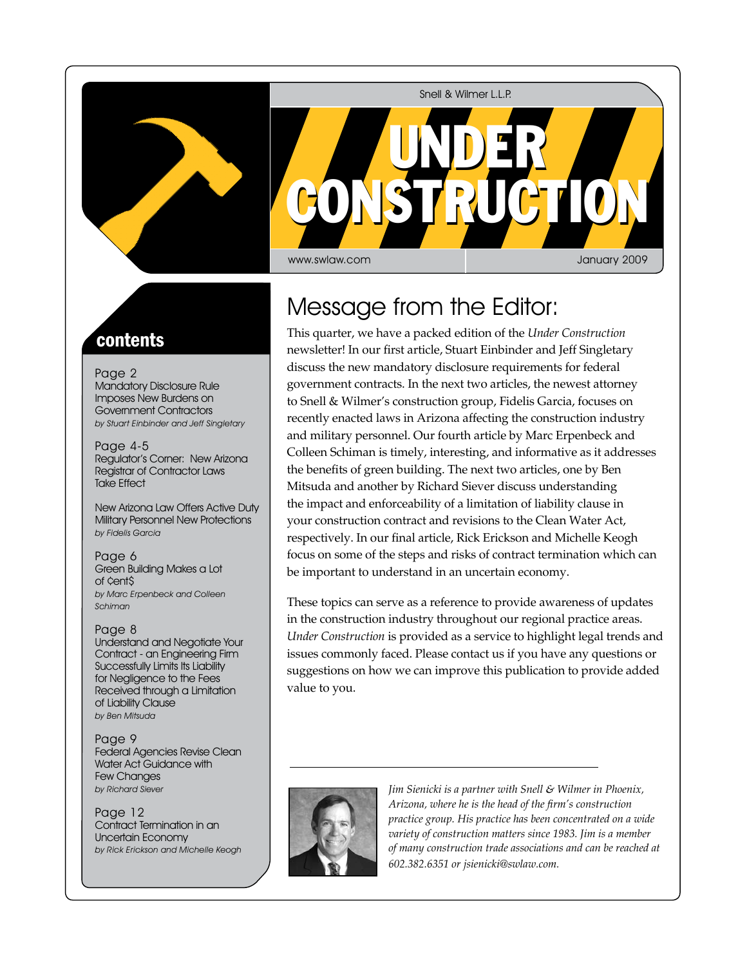Snell & Wilmer L.L.P.



## contents

Page 2 Mandatory Disclosure Rule Imposes New Burdens on Government Contractors by Stuart Einbinder and Jeff Singletary

Page 4-5 Regulator's Corner: New Arizona Registrar of Contractor Laws Take Effect

New Arizona Law Offers Active Duty Military Personnel New Protections by Fidelis Garcia

Page 6 Green Building Makes a Lot of ¢ent\$ by Marc Erpenbeck and Colleen Schiman

Page 8 Understand and Negotiate Your Contract - an Engineering Firm Successfully Limits Its Liability for Negligence to the Fees Received through a Limitation of Liability Clause by Ben Mitsuda

Page 9 Federal Agencies Revise Clean Water Act Guidance with Few Changes by Richard Siever

Page 12 Contract Termination in an Uncertain Economy by Rick Erickson and Michelle Keogh

# Message from the Editor:

This quarter, we have a packed edition of the *Under Construction*  newsletter! In our first article, Stuart Einbinder and Jeff Singletary discuss the new mandatory disclosure requirements for federal government contracts. In the next two articles, the newest attorney to Snell & Wilmer's construction group, Fidelis Garcia, focuses on recently enacted laws in Arizona affecting the construction industry and military personnel. Our fourth article by Marc Erpenbeck and Colleen Schiman is timely, interesting, and informative as it addresses the benefits of green building. The next two articles, one by Ben Mitsuda and another by Richard Siever discuss understanding the impact and enforceability of a limitation of liability clause in your construction contract and revisions to the Clean Water Act, respectively. In our final article, Rick Erickson and Michelle Keogh focus on some of the steps and risks of contract termination which can be important to understand in an uncertain economy.

These topics can serve as a reference to provide awareness of updates in the construction industry throughout our regional practice areas. *Under Construction* is provided as a service to highlight legal trends and issues commonly faced. Please contact us if you have any questions or suggestions on how we can improve this publication to provide added value to you.



*Jim Sienicki is a partner with Snell & Wilmer in Phoenix, Arizona, where he is the head of the firm's construction practice group. His practice has been concentrated on a wide variety of construction matters since 1983. Jim is a member of many construction trade associations and can be reached at 602.382.6351 or jsienicki@swlaw.com.*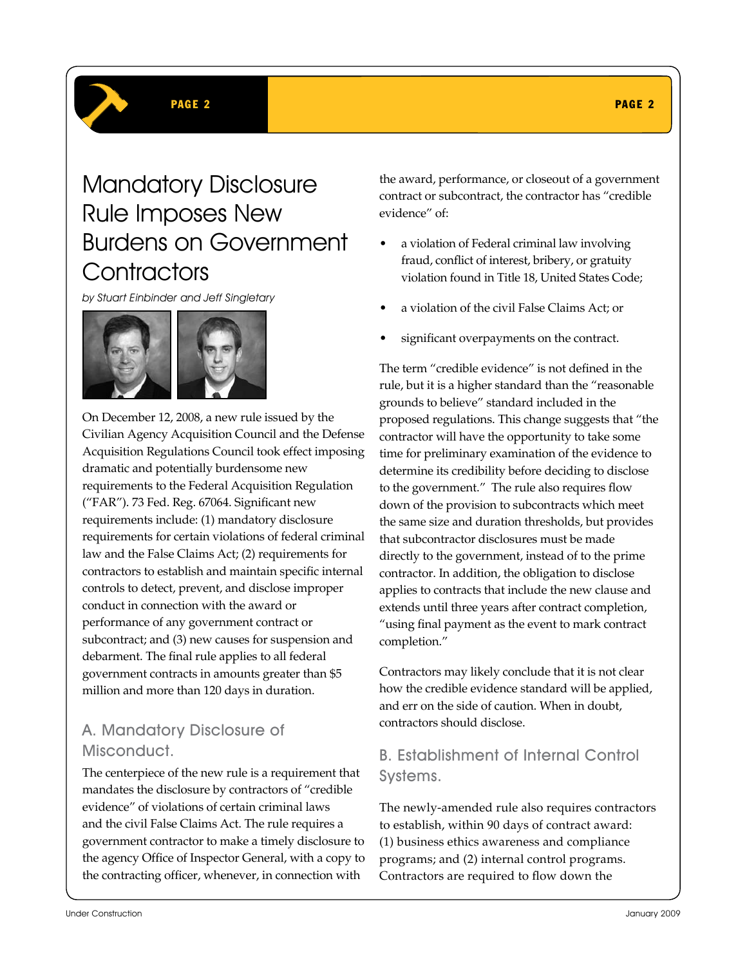# Mandatory Disclosure Rule Imposes New Burdens on Government **Contractors**

by Stuart Einbinder and Jeff Singletary



On December 12, 2008, a new rule issued by the Civilian Agency Acquisition Council and the Defense Acquisition Regulations Council took effect imposing dramatic and potentially burdensome new requirements to the Federal Acquisition Regulation ("FAR"). 73 Fed. Reg. 67064. Significant new requirements include: (1) mandatory disclosure requirements for certain violations of federal criminal law and the False Claims Act; (2) requirements for contractors to establish and maintain specific internal controls to detect, prevent, and disclose improper conduct in connection with the award or performance of any government contract or subcontract; and (3) new causes for suspension and debarment. The final rule applies to all federal government contracts in amounts greater than \$5 million and more than 120 days in duration.

## A. Mandatory Disclosure of Misconduct.

The centerpiece of the new rule is a requirement that mandates the disclosure by contractors of "credible evidence" of violations of certain criminal laws and the civil False Claims Act. The rule requires a government contractor to make a timely disclosure to the agency Office of Inspector General, with a copy to the contracting officer, whenever, in connection with

the award, performance, or closeout of a government contract or subcontract, the contractor has "credible evidence" of:

- a violation of Federal criminal law involving fraud, conflict of interest, bribery, or gratuity violation found in Title 18, United States Code;
- a violation of the civil False Claims Act; or
- significant overpayments on the contract.

The term "credible evidence" is not defined in the rule, but it is a higher standard than the "reasonable grounds to believe" standard included in the proposed regulations. This change suggests that "the contractor will have the opportunity to take some time for preliminary examination of the evidence to determine its credibility before deciding to disclose to the government." The rule also requires flow down of the provision to subcontracts which meet the same size and duration thresholds, but provides that subcontractor disclosures must be made directly to the government, instead of to the prime contractor. In addition, the obligation to disclose applies to contracts that include the new clause and extends until three years after contract completion, "using final payment as the event to mark contract completion."

Contractors may likely conclude that it is not clear how the credible evidence standard will be applied, and err on the side of caution. When in doubt, contractors should disclose.

### B. Establishment of Internal Control Systems.

The newly-amended rule also requires contractors to establish, within 90 days of contract award: (1) business ethics awareness and compliance programs; and (2) internal control programs. Contractors are required to flow down the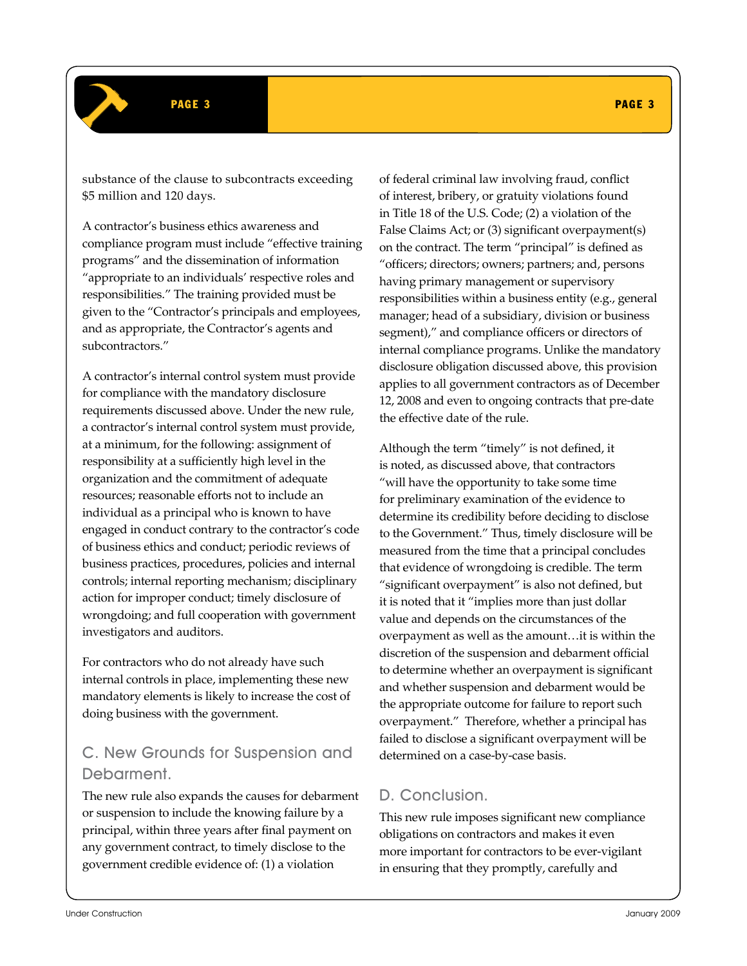substance of the clause to subcontracts exceeding \$5 million and 120 days.

A contractor's business ethics awareness and compliance program must include "effective training programs" and the dissemination of information "appropriate to an individuals' respective roles and responsibilities." The training provided must be given to the "Contractor's principals and employees, and as appropriate, the Contractor's agents and subcontractors."

A contractor's internal control system must provide for compliance with the mandatory disclosure requirements discussed above. Under the new rule, a contractor's internal control system must provide, at a minimum, for the following: assignment of responsibility at a sufficiently high level in the organization and the commitment of adequate resources; reasonable efforts not to include an individual as a principal who is known to have engaged in conduct contrary to the contractor's code of business ethics and conduct; periodic reviews of business practices, procedures, policies and internal controls; internal reporting mechanism; disciplinary action for improper conduct; timely disclosure of wrongdoing; and full cooperation with government investigators and auditors.

For contractors who do not already have such internal controls in place, implementing these new mandatory elements is likely to increase the cost of doing business with the government.

### C. New Grounds for Suspension and Debarment.

The new rule also expands the causes for debarment or suspension to include the knowing failure by a principal, within three years after final payment on any government contract, to timely disclose to the government credible evidence of: (1) a violation

of federal criminal law involving fraud, conflict of interest, bribery, or gratuity violations found in Title 18 of the U.S. Code; (2) a violation of the False Claims Act; or (3) significant overpayment(s) on the contract. The term "principal" is defined as "officers; directors; owners; partners; and, persons having primary management or supervisory responsibilities within a business entity (e.g., general manager; head of a subsidiary, division or business segment)," and compliance officers or directors of internal compliance programs. Unlike the mandatory disclosure obligation discussed above, this provision applies to all government contractors as of December 12, 2008 and even to ongoing contracts that pre-date the effective date of the rule.

Although the term "timely" is not defined, it is noted, as discussed above, that contractors "will have the opportunity to take some time for preliminary examination of the evidence to determine its credibility before deciding to disclose to the Government." Thus, timely disclosure will be measured from the time that a principal concludes that evidence of wrongdoing is credible. The term "significant overpayment" is also not defined, but it is noted that it "implies more than just dollar value and depends on the circumstances of the overpayment as well as the amount…it is within the discretion of the suspension and debarment official to determine whether an overpayment is significant and whether suspension and debarment would be the appropriate outcome for failure to report such overpayment." Therefore, whether a principal has failed to disclose a significant overpayment will be determined on a case-by-case basis.

### D. Conclusion.

This new rule imposes significant new compliance obligations on contractors and makes it even more important for contractors to be ever-vigilant in ensuring that they promptly, carefully and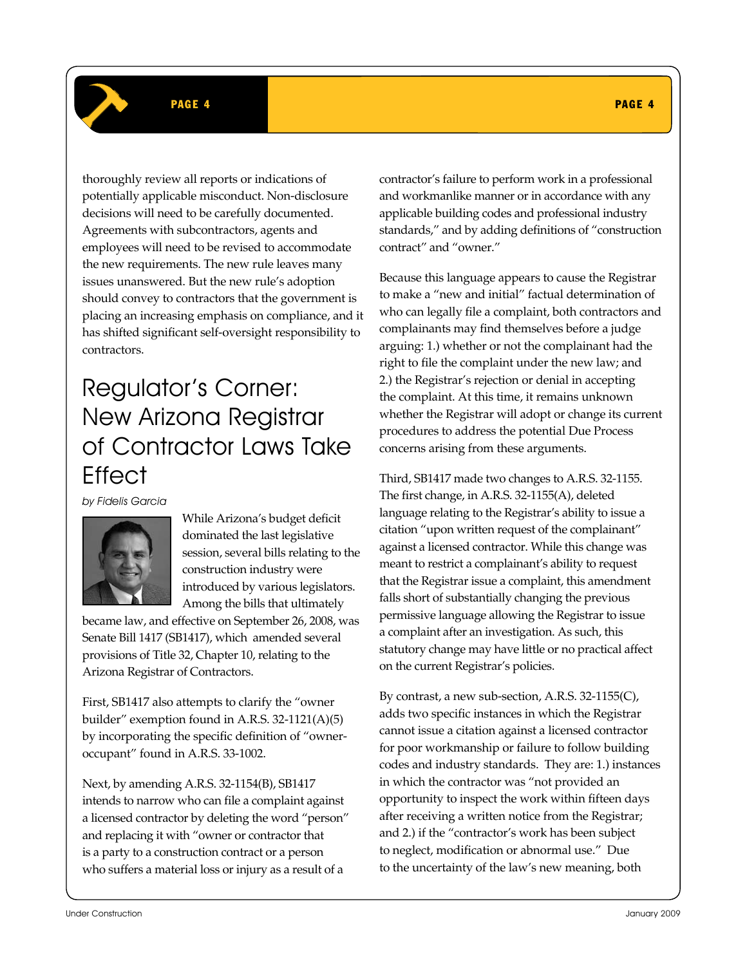### PAGE 4 PAGE 4 PAGE 4 PAGE 4 PAGE 4 PAGE 4 PAGE 4 PAGE 4 PAGE 4 PAGE 4 PAGE 4 PAGE 4

thoroughly review all reports or indications of potentially applicable misconduct. Non-disclosure decisions will need to be carefully documented. Agreements with subcontractors, agents and employees will need to be revised to accommodate the new requirements. The new rule leaves many issues unanswered. But the new rule's adoption should convey to contractors that the government is placing an increasing emphasis on compliance, and it has shifted significant self-oversight responsibility to contractors.

# Regulator's Corner: New Arizona Registrar of Contractor Laws Take **Fffect**

by Fidelis Garcia



While Arizona's budget deficit dominated the last legislative session, several bills relating to the construction industry were introduced by various legislators. Among the bills that ultimately

became law, and effective on September 26, 2008, was Senate Bill 1417 (SB1417), which amended several provisions of Title 32, Chapter 10, relating to the Arizona Registrar of Contractors.

First, SB1417 also attempts to clarify the "owner builder" exemption found in A.R.S. 32-1121(A)(5) by incorporating the specific definition of "owneroccupant" found in A.R.S. 33-1002.

Next, by amending A.R.S. 32-1154(B), SB1417 intends to narrow who can file a complaint against a licensed contractor by deleting the word "person" and replacing it with "owner or contractor that is a party to a construction contract or a person who suffers a material loss or injury as a result of a

contractor's failure to perform work in a professional and workmanlike manner or in accordance with any applicable building codes and professional industry standards," and by adding definitions of "construction contract" and "owner."

Because this language appears to cause the Registrar to make a "new and initial" factual determination of who can legally file a complaint, both contractors and complainants may find themselves before a judge arguing: 1.) whether or not the complainant had the right to file the complaint under the new law; and 2.) the Registrar's rejection or denial in accepting the complaint. At this time, it remains unknown whether the Registrar will adopt or change its current procedures to address the potential Due Process concerns arising from these arguments.

Third, SB1417 made two changes to A.R.S. 32-1155. The first change, in A.R.S. 32-1155(A), deleted language relating to the Registrar's ability to issue a citation "upon written request of the complainant" against a licensed contractor. While this change was meant to restrict a complainant's ability to request that the Registrar issue a complaint, this amendment falls short of substantially changing the previous permissive language allowing the Registrar to issue a complaint after an investigation. As such, this statutory change may have little or no practical affect on the current Registrar's policies.

By contrast, a new sub-section, A.R.S. 32-1155(C), adds two specific instances in which the Registrar cannot issue a citation against a licensed contractor for poor workmanship or failure to follow building codes and industry standards. They are: 1.) instances in which the contractor was "not provided an opportunity to inspect the work within fifteen days after receiving a written notice from the Registrar; and 2.) if the "contractor's work has been subject to neglect, modification or abnormal use." Due to the uncertainty of the law's new meaning, both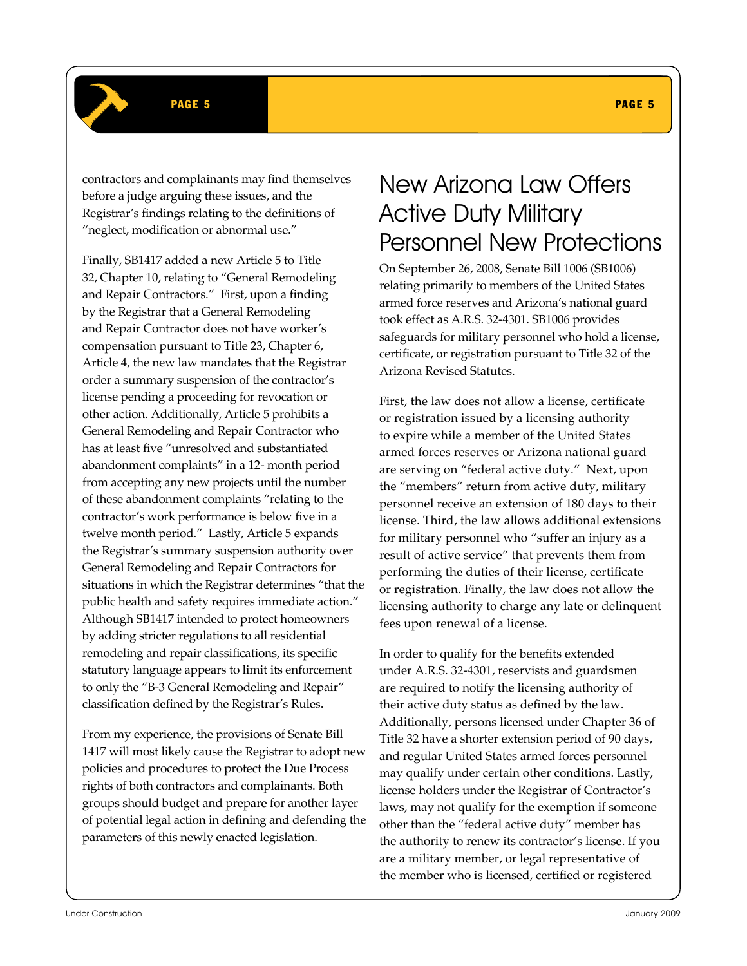### PAGE 5 PAGE 5 PAGE 5 PAGE 5 PAGE 5 PAGE 5 PAGE 5 PAGE 5 PAGE 5 PAGE 5 PAGE 5 PAGE 5

contractors and complainants may find themselves before a judge arguing these issues, and the Registrar's findings relating to the definitions of "neglect, modification or abnormal use."

Finally, SB1417 added a new Article 5 to Title 32, Chapter 10, relating to "General Remodeling and Repair Contractors." First, upon a finding by the Registrar that a General Remodeling and Repair Contractor does not have worker's compensation pursuant to Title 23, Chapter 6, Article 4, the new law mandates that the Registrar order a summary suspension of the contractor's license pending a proceeding for revocation or other action. Additionally, Article 5 prohibits a General Remodeling and Repair Contractor who has at least five "unresolved and substantiated abandonment complaints" in a 12- month period from accepting any new projects until the number of these abandonment complaints "relating to the contractor's work performance is below five in a twelve month period." Lastly, Article 5 expands the Registrar's summary suspension authority over General Remodeling and Repair Contractors for situations in which the Registrar determines "that the public health and safety requires immediate action." Although SB1417 intended to protect homeowners by adding stricter regulations to all residential remodeling and repair classifications, its specific statutory language appears to limit its enforcement to only the "B-3 General Remodeling and Repair" classification defined by the Registrar's Rules.

From my experience, the provisions of Senate Bill 1417 will most likely cause the Registrar to adopt new policies and procedures to protect the Due Process rights of both contractors and complainants. Both groups should budget and prepare for another layer of potential legal action in defining and defending the parameters of this newly enacted legislation.

# New Arizona Law Offers Active Duty Military Personnel New Protections

On September 26, 2008, Senate Bill 1006 (SB1006) relating primarily to members of the United States armed force reserves and Arizona's national guard took effect as A.R.S. 32-4301. SB1006 provides safeguards for military personnel who hold a license, certificate, or registration pursuant to Title 32 of the Arizona Revised Statutes.

First, the law does not allow a license, certificate or registration issued by a licensing authority to expire while a member of the United States armed forces reserves or Arizona national guard are serving on "federal active duty." Next, upon the "members" return from active duty, military personnel receive an extension of 180 days to their license. Third, the law allows additional extensions for military personnel who "suffer an injury as a result of active service" that prevents them from performing the duties of their license, certificate or registration. Finally, the law does not allow the licensing authority to charge any late or delinquent fees upon renewal of a license.

In order to qualify for the benefits extended under A.R.S. 32-4301, reservists and guardsmen are required to notify the licensing authority of their active duty status as defined by the law. Additionally, persons licensed under Chapter 36 of Title 32 have a shorter extension period of 90 days, and regular United States armed forces personnel may qualify under certain other conditions. Lastly, license holders under the Registrar of Contractor's laws, may not qualify for the exemption if someone other than the "federal active duty" member has the authority to renew its contractor's license. If you are a military member, or legal representative of the member who is licensed, certified or registered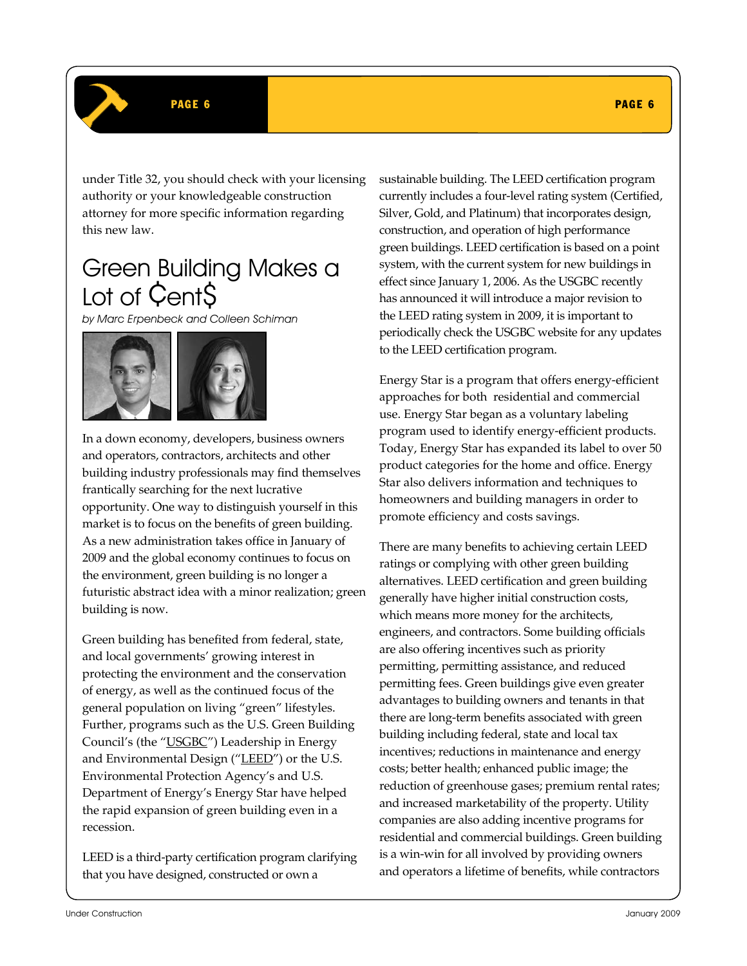### PAGE 6 PAGE 6 PAGE 6 PAGE 6 PAGE 6 PAGE 6 PAGE 6 PAGE 6 PAGE 6 PAGE 6 PAGE 6 PAGE 6 PAGE 6

under Title 32, you should check with your licensing authority or your knowledgeable construction attorney for more specific information regarding this new law.

# Green Building Makes a Lot of Cent\$

by Marc Erpenbeck and Colleen Schiman



In a down economy, developers, business owners and operators, contractors, architects and other building industry professionals may find themselves frantically searching for the next lucrative opportunity. One way to distinguish yourself in this market is to focus on the benefits of green building. As a new administration takes office in January of 2009 and the global economy continues to focus on the environment, green building is no longer a futuristic abstract idea with a minor realization; green building is now.

Green building has benefited from federal, state, and local governments' growing interest in protecting the environment and the conservation of energy, as well as the continued focus of the general population on living "green" lifestyles. Further, programs such as the U.S. Green Building Council's (the "USGBC") Leadership in Energy and Environmental Design ("LEED") or the U.S. Environmental Protection Agency's and U.S. Department of Energy's Energy Star have helped the rapid expansion of green building even in a recession.

LEED is a third-party certification program clarifying that you have designed, constructed or own a

sustainable building. The LEED certification program currently includes a four-level rating system (Certified, Silver, Gold, and Platinum) that incorporates design, construction, and operation of high performance green buildings. LEED certification is based on a point system, with the current system for new buildings in effect since January 1, 2006. As the USGBC recently has announced it will introduce a major revision to the LEED rating system in 2009, it is important to periodically check the USGBC website for any updates to the LEED certification program.

Energy Star is a program that offers energy-efficient approaches for both residential and commercial use. Energy Star began as a voluntary labeling program used to identify energy-efficient products. Today, Energy Star has expanded its label to over 50 product categories for the home and office. Energy Star also delivers information and techniques to homeowners and building managers in order to promote efficiency and costs savings.

There are many benefits to achieving certain LEED ratings or complying with other green building alternatives. LEED certification and green building generally have higher initial construction costs, which means more money for the architects, engineers, and contractors. Some building officials are also offering incentives such as priority permitting, permitting assistance, and reduced permitting fees. Green buildings give even greater advantages to building owners and tenants in that there are long-term benefits associated with green building including federal, state and local tax incentives; reductions in maintenance and energy costs; better health; enhanced public image; the reduction of greenhouse gases; premium rental rates; and increased marketability of the property. Utility companies are also adding incentive programs for residential and commercial buildings. Green building is a win-win for all involved by providing owners and operators a lifetime of benefits, while contractors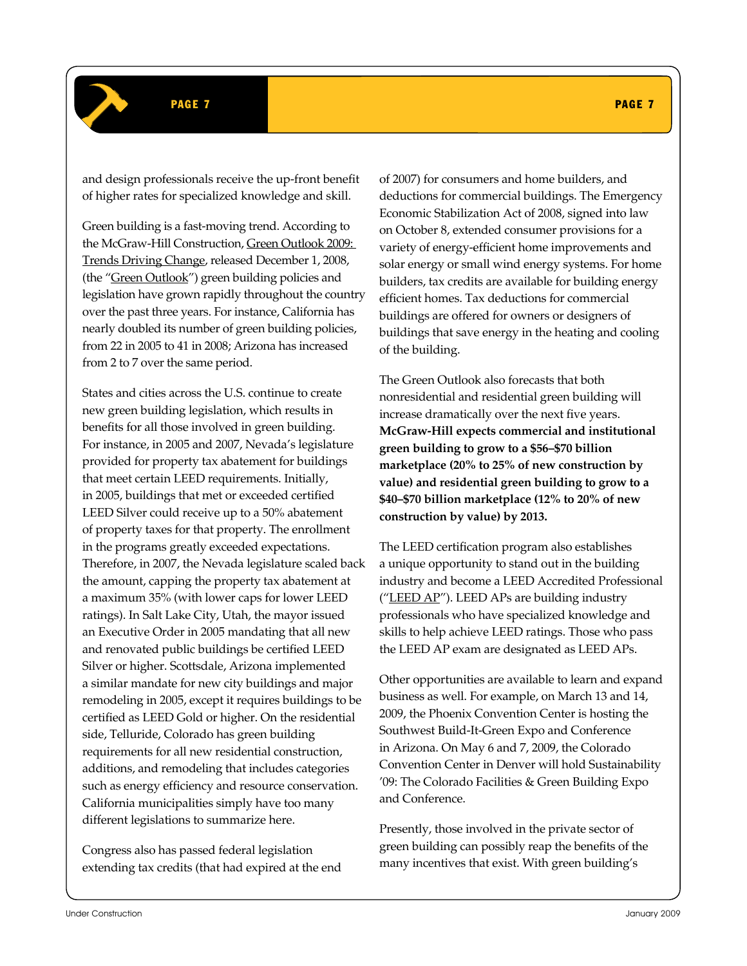### PAGE 7 PAGE 7 PAGE 7 PAGE 7 PAGE 7 PAGE 7 PAGE 7 PAGE 7 PAGE 7 PAGE 7 PAGE 7 PAGE 7 PAGE 7

and design professionals receive the up-front benefit of higher rates for specialized knowledge and skill.

Green building is a fast-moving trend. According to the McGraw-Hill Construction, Green Outlook 2009: Trends Driving Change, released December 1, 2008, (the "Green Outlook") green building policies and legislation have grown rapidly throughout the country over the past three years. For instance, California has nearly doubled its number of green building policies, from 22 in 2005 to 41 in 2008; Arizona has increased from 2 to 7 over the same period.

States and cities across the U.S. continue to create new green building legislation, which results in benefits for all those involved in green building. For instance, in 2005 and 2007, Nevada's legislature provided for property tax abatement for buildings that meet certain LEED requirements. Initially, in 2005, buildings that met or exceeded certified LEED Silver could receive up to a 50% abatement of property taxes for that property. The enrollment in the programs greatly exceeded expectations. Therefore, in 2007, the Nevada legislature scaled back the amount, capping the property tax abatement at a maximum 35% (with lower caps for lower LEED ratings). In Salt Lake City, Utah, the mayor issued an Executive Order in 2005 mandating that all new and renovated public buildings be certified LEED Silver or higher. Scottsdale, Arizona implemented a similar mandate for new city buildings and major remodeling in 2005, except it requires buildings to be certified as LEED Gold or higher. On the residential side, Telluride, Colorado has green building requirements for all new residential construction, additions, and remodeling that includes categories such as energy efficiency and resource conservation. California municipalities simply have too many different legislations to summarize here.

Congress also has passed federal legislation extending tax credits (that had expired at the end

of 2007) for consumers and home builders, and deductions for commercial buildings. The Emergency Economic Stabilization Act of 2008, signed into law on October 8, extended consumer provisions for a variety of energy-efficient home improvements and solar energy or small wind energy systems. For home builders, tax credits are available for building energy efficient homes. Tax deductions for commercial buildings are offered for owners or designers of buildings that save energy in the heating and cooling of the building.

The Green Outlook also forecasts that both nonresidential and residential green building will increase dramatically over the next five years. **McGraw-Hill expects commercial and institutional green building to grow to a \$56–\$70 billion marketplace (20% to 25% of new construction by value) and residential green building to grow to a \$40–\$70 billion marketplace (12% to 20% of new construction by value) by 2013.**

The LEED certification program also establishes a unique opportunity to stand out in the building industry and become a LEED Accredited Professional ("LEED AP"). LEED APs are building industry professionals who have specialized knowledge and skills to help achieve LEED ratings. Those who pass the LEED AP exam are designated as LEED APs.

Other opportunities are available to learn and expand business as well. For example, on March 13 and 14, 2009, the Phoenix Convention Center is hosting the Southwest Build-It-Green Expo and Conference in Arizona. On May 6 and 7, 2009, the Colorado Convention Center in Denver will hold Sustainability '09: The Colorado Facilities & Green Building Expo and Conference.

Presently, those involved in the private sector of green building can possibly reap the benefits of the many incentives that exist. With green building's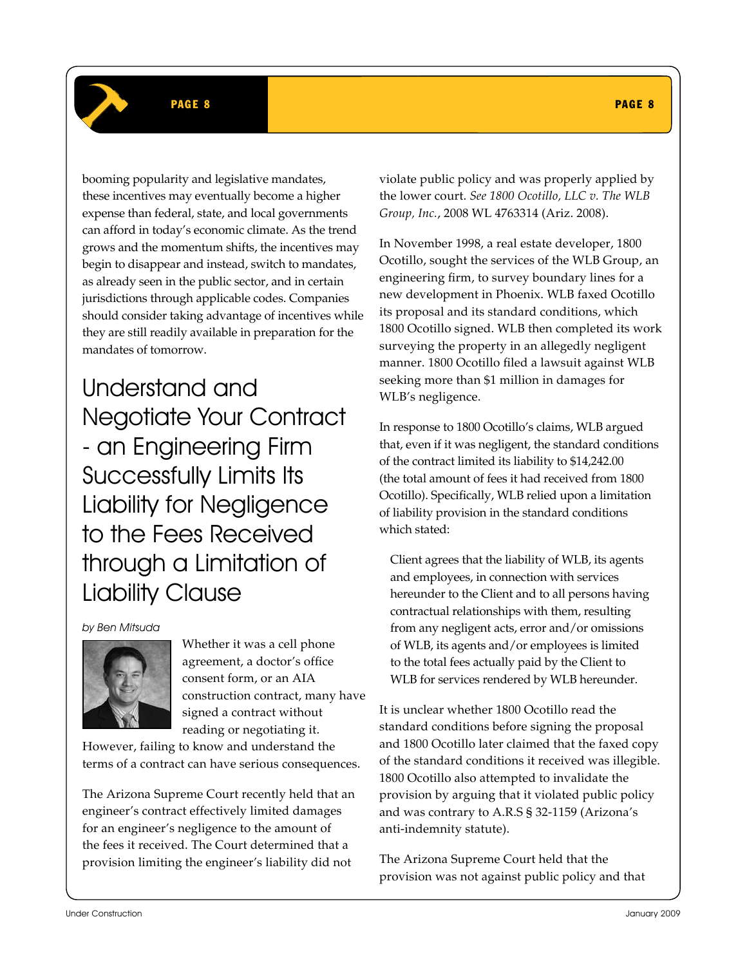### PAGE 8 PAGE 8 PAGE 8 PAGE 8 PAGE 8 PAGE 8 PAGE 8 PAGE 8 PAGE 8 PAGE 8 PAGE 8 PAGE 8

booming popularity and legislative mandates, these incentives may eventually become a higher expense than federal, state, and local governments can afford in today's economic climate. As the trend grows and the momentum shifts, the incentives may begin to disappear and instead, switch to mandates, as already seen in the public sector, and in certain jurisdictions through applicable codes. Companies should consider taking advantage of incentives while they are still readily available in preparation for the mandates of tomorrow.

Understand and Negotiate Your Contract - an Engineering Firm Successfully Limits Its Liability for Negligence to the Fees Received through a Limitation of Liability Clause

by Ben Mitsuda



Whether it was a cell phone agreement, a doctor's office consent form, or an AIA construction contract, many have signed a contract without reading or negotiating it.

However, failing to know and understand the terms of a contract can have serious consequences.

The Arizona Supreme Court recently held that an engineer's contract effectively limited damages for an engineer's negligence to the amount of the fees it received. The Court determined that a provision limiting the engineer's liability did not

violate public policy and was properly applied by the lower court. *See 1800 Ocotillo, LLC v. The WLB Group, Inc.*, 2008 WL 4763314 (Ariz. 2008).

In November 1998, a real estate developer, 1800 Ocotillo, sought the services of the WLB Group, an engineering firm, to survey boundary lines for a new development in Phoenix. WLB faxed Ocotillo its proposal and its standard conditions, which 1800 Ocotillo signed. WLB then completed its work surveying the property in an allegedly negligent manner. 1800 Ocotillo filed a lawsuit against WLB seeking more than \$1 million in damages for WLB's negligence.

In response to 1800 Ocotillo's claims, WLB argued that, even if it was negligent, the standard conditions of the contract limited its liability to \$14,242.00 (the total amount of fees it had received from 1800 Ocotillo). Specifically, WLB relied upon a limitation of liability provision in the standard conditions which stated:

Client agrees that the liability of WLB, its agents and employees, in connection with services hereunder to the Client and to all persons having contractual relationships with them, resulting from any negligent acts, error and/or omissions of WLB, its agents and/or employees is limited to the total fees actually paid by the Client to WLB for services rendered by WLB hereunder.

It is unclear whether 1800 Ocotillo read the standard conditions before signing the proposal and 1800 Ocotillo later claimed that the faxed copy of the standard conditions it received was illegible. 1800 Ocotillo also attempted to invalidate the provision by arguing that it violated public policy and was contrary to A.R.S § 32-1159 (Arizona's anti-indemnity statute).

The Arizona Supreme Court held that the provision was not against public policy and that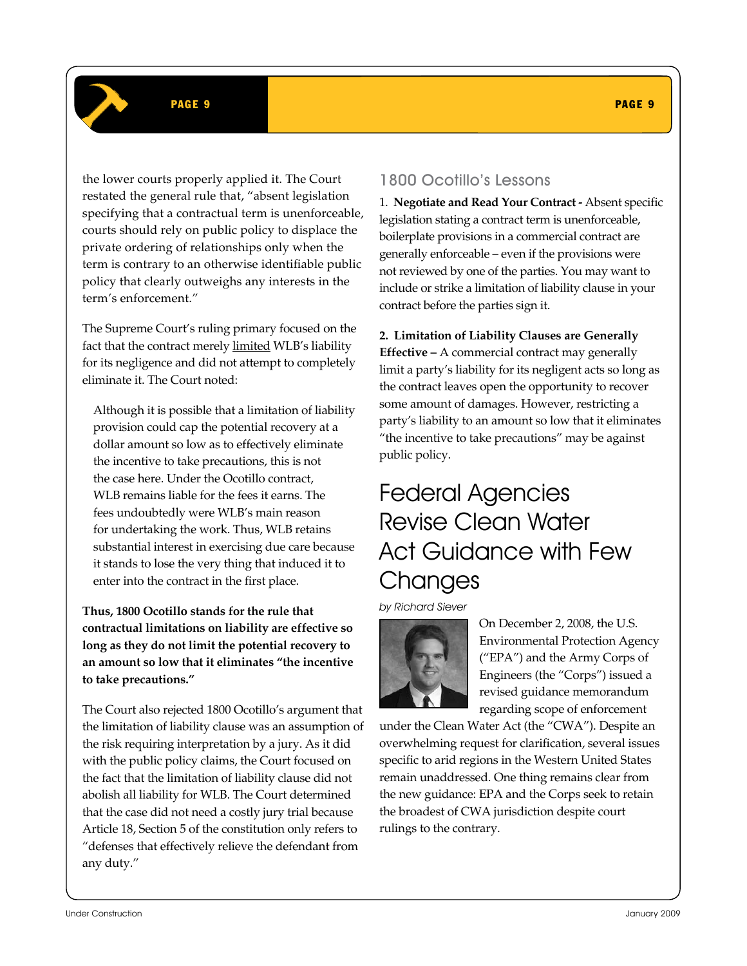#### PAGE 9 PAGE 9

the lower courts properly applied it. The Court restated the general rule that, "absent legislation specifying that a contractual term is unenforceable, courts should rely on public policy to displace the private ordering of relationships only when the term is contrary to an otherwise identifiable public policy that clearly outweighs any interests in the term's enforcement."

The Supreme Court's ruling primary focused on the fact that the contract merely limited WLB's liability for its negligence and did not attempt to completely eliminate it. The Court noted:

Although it is possible that a limitation of liability provision could cap the potential recovery at a dollar amount so low as to effectively eliminate the incentive to take precautions, this is not the case here. Under the Ocotillo contract, WLB remains liable for the fees it earns. The fees undoubtedly were WLB's main reason for undertaking the work. Thus, WLB retains substantial interest in exercising due care because it stands to lose the very thing that induced it to enter into the contract in the first place.

**Thus, 1800 Ocotillo stands for the rule that contractual limitations on liability are effective so long as they do not limit the potential recovery to an amount so low that it eliminates "the incentive to take precautions."** 

The Court also rejected 1800 Ocotillo's argument that the limitation of liability clause was an assumption of the risk requiring interpretation by a jury. As it did with the public policy claims, the Court focused on the fact that the limitation of liability clause did not abolish all liability for WLB. The Court determined that the case did not need a costly jury trial because Article 18, Section 5 of the constitution only refers to "defenses that effectively relieve the defendant from any duty."

### 1800 Ocotillo's Lessons

1. **Negotiate and Read Your Contract -** Absent specific legislation stating a contract term is unenforceable, boilerplate provisions in a commercial contract are generally enforceable – even if the provisions were not reviewed by one of the parties. You may want to include or strike a limitation of liability clause in your contract before the parties sign it.

**2. Limitation of Liability Clauses are Generally Effective –** A commercial contract may generally limit a party's liability for its negligent acts so long as the contract leaves open the opportunity to recover some amount of damages. However, restricting a party's liability to an amount so low that it eliminates "the incentive to take precautions" may be against public policy.

# Federal Agencies Revise Clean Water Act Guidance with Few **Changes**

by Richard Siever



On December 2, 2008, the U.S. Environmental Protection Agency ("EPA") and the Army Corps of Engineers (the "Corps") issued a revised guidance memorandum regarding scope of enforcement

under the Clean Water Act (the "CWA"). Despite an overwhelming request for clarification, several issues specific to arid regions in the Western United States remain unaddressed. One thing remains clear from the new guidance: EPA and the Corps seek to retain the broadest of CWA jurisdiction despite court rulings to the contrary.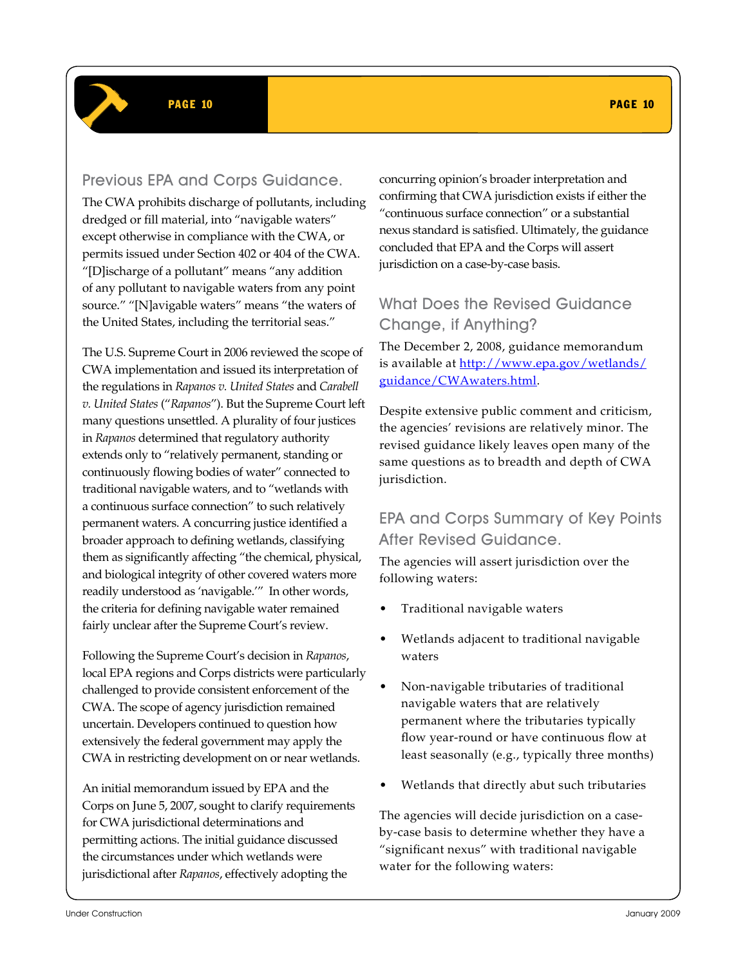### Previous EPA and Corps Guidance.

The CWA prohibits discharge of pollutants, including dredged or fill material, into "navigable waters" except otherwise in compliance with the CWA, or permits issued under Section 402 or 404 of the CWA. "[D]ischarge of a pollutant" means "any addition of any pollutant to navigable waters from any point source." "[N]avigable waters" means "the waters of the United States, including the territorial seas."

The U.S. Supreme Court in 2006 reviewed the scope of CWA implementation and issued its interpretation of the regulations in *Rapanos v. United States* and *Carabell v. United States* ("*Rapanos*"). But the Supreme Court left many questions unsettled. A plurality of four justices in *Rapanos* determined that regulatory authority extends only to "relatively permanent, standing or continuously flowing bodies of water" connected to traditional navigable waters, and to "wetlands with a continuous surface connection" to such relatively permanent waters. A concurring justice identified a broader approach to defining wetlands, classifying them as significantly affecting "the chemical, physical, and biological integrity of other covered waters more readily understood as 'navigable.'" In other words, the criteria for defining navigable water remained fairly unclear after the Supreme Court's review.

Following the Supreme Court's decision in *Rapanos*, local EPA regions and Corps districts were particularly challenged to provide consistent enforcement of the CWA. The scope of agency jurisdiction remained uncertain. Developers continued to question how extensively the federal government may apply the CWA in restricting development on or near wetlands.

An initial memorandum issued by EPA and the Corps on June 5, 2007, sought to clarify requirements for CWA jurisdictional determinations and permitting actions. The initial guidance discussed the circumstances under which wetlands were jurisdictional after *Rapanos*, effectively adopting the

concurring opinion's broader interpretation and confirming that CWA jurisdiction exists if either the "continuous surface connection" or a substantial nexus standard is satisfied. Ultimately, the guidance concluded that EPA and the Corps will assert jurisdiction on a case-by-case basis.

## What Does the Revised Guidance Change, if Anything?

The December 2, 2008, guidance memorandum is available at http://www.epa.gov/wetlands/ guidance/CWAwaters.html.

Despite extensive public comment and criticism, the agencies' revisions are relatively minor. The revised guidance likely leaves open many of the same questions as to breadth and depth of CWA jurisdiction.

### EPA and Corps Summary of Key Points After Revised Guidance.

The agencies will assert jurisdiction over the following waters:

- Traditional navigable waters
- Wetlands adjacent to traditional navigable waters
- Non-navigable tributaries of traditional navigable waters that are relatively permanent where the tributaries typically flow year-round or have continuous flow at least seasonally (e.g., typically three months)
- Wetlands that directly abut such tributaries

The agencies will decide jurisdiction on a caseby-case basis to determine whether they have a "significant nexus" with traditional navigable water for the following waters: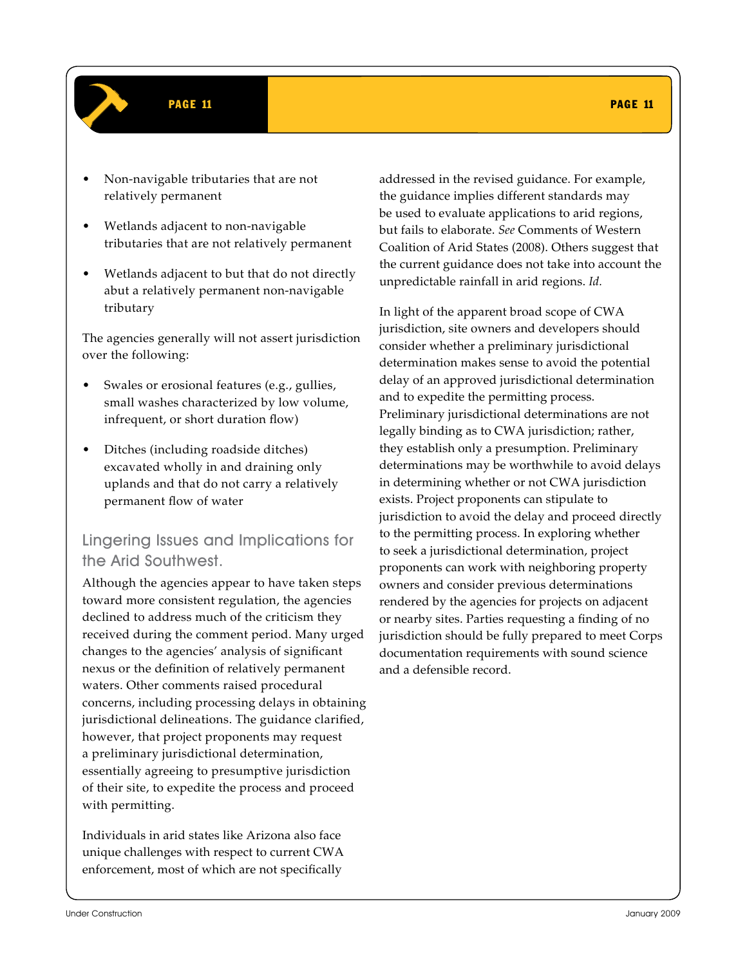### PAGE 11 PAGE 11 PAGE 11 PAGE 11 PAGE 11 PAGE 11 PAGE 11 PAGE 11 PAGE 11 PAGE 11

- Non-navigable tributaries that are not relatively permanent
- Wetlands adjacent to non-navigable tributaries that are not relatively permanent
- Wetlands adjacent to but that do not directly abut a relatively permanent non-navigable tributary

The agencies generally will not assert jurisdiction over the following:

- Swales or erosional features (e.g., gullies, small washes characterized by low volume, infrequent, or short duration flow)
- Ditches (including roadside ditches) excavated wholly in and draining only uplands and that do not carry a relatively permanent flow of water

### Lingering Issues and Implications for the Arid Southwest.

Although the agencies appear to have taken steps toward more consistent regulation, the agencies declined to address much of the criticism they received during the comment period. Many urged changes to the agencies' analysis of significant nexus or the definition of relatively permanent waters. Other comments raised procedural concerns, including processing delays in obtaining jurisdictional delineations. The guidance clarified, however, that project proponents may request a preliminary jurisdictional determination, essentially agreeing to presumptive jurisdiction of their site, to expedite the process and proceed with permitting.

Individuals in arid states like Arizona also face unique challenges with respect to current CWA enforcement, most of which are not specifically

addressed in the revised guidance. For example, the guidance implies different standards may be used to evaluate applications to arid regions, but fails to elaborate. *See* Comments of Western Coalition of Arid States (2008). Others suggest that the current guidance does not take into account the unpredictable rainfall in arid regions. *Id.* 

In light of the apparent broad scope of CWA jurisdiction, site owners and developers should consider whether a preliminary jurisdictional determination makes sense to avoid the potential delay of an approved jurisdictional determination and to expedite the permitting process. Preliminary jurisdictional determinations are not legally binding as to CWA jurisdiction; rather, they establish only a presumption. Preliminary determinations may be worthwhile to avoid delays in determining whether or not CWA jurisdiction exists. Project proponents can stipulate to jurisdiction to avoid the delay and proceed directly to the permitting process. In exploring whether to seek a jurisdictional determination, project proponents can work with neighboring property owners and consider previous determinations rendered by the agencies for projects on adjacent or nearby sites. Parties requesting a finding of no jurisdiction should be fully prepared to meet Corps documentation requirements with sound science and a defensible record.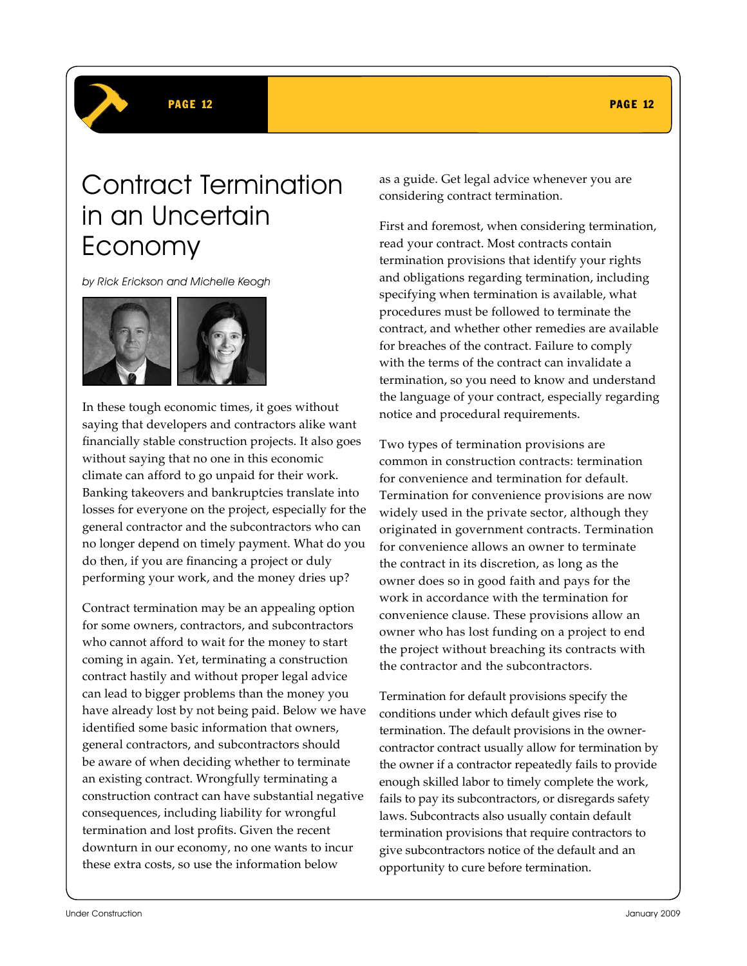

# Contract Termination in an Uncertain Economy

by Rick Erickson and Michelle Keogh



In these tough economic times, it goes without saying that developers and contractors alike want financially stable construction projects. It also goes without saying that no one in this economic climate can afford to go unpaid for their work. Banking takeovers and bankruptcies translate into losses for everyone on the project, especially for the general contractor and the subcontractors who can no longer depend on timely payment. What do you do then, if you are financing a project or duly performing your work, and the money dries up?

Contract termination may be an appealing option for some owners, contractors, and subcontractors who cannot afford to wait for the money to start coming in again. Yet, terminating a construction contract hastily and without proper legal advice can lead to bigger problems than the money you have already lost by not being paid. Below we have identified some basic information that owners, general contractors, and subcontractors should be aware of when deciding whether to terminate an existing contract. Wrongfully terminating a construction contract can have substantial negative consequences, including liability for wrongful termination and lost profits. Given the recent downturn in our economy, no one wants to incur these extra costs, so use the information below

as a guide. Get legal advice whenever you are considering contract termination.

First and foremost, when considering termination, read your contract. Most contracts contain termination provisions that identify your rights and obligations regarding termination, including specifying when termination is available, what procedures must be followed to terminate the contract, and whether other remedies are available for breaches of the contract. Failure to comply with the terms of the contract can invalidate a termination, so you need to know and understand the language of your contract, especially regarding notice and procedural requirements.

Two types of termination provisions are common in construction contracts: termination for convenience and termination for default. Termination for convenience provisions are now widely used in the private sector, although they originated in government contracts. Termination for convenience allows an owner to terminate the contract in its discretion, as long as the owner does so in good faith and pays for the work in accordance with the termination for convenience clause. These provisions allow an owner who has lost funding on a project to end the project without breaching its contracts with the contractor and the subcontractors.

Termination for default provisions specify the conditions under which default gives rise to termination. The default provisions in the ownercontractor contract usually allow for termination by the owner if a contractor repeatedly fails to provide enough skilled labor to timely complete the work, fails to pay its subcontractors, or disregards safety laws. Subcontracts also usually contain default termination provisions that require contractors to give subcontractors notice of the default and an opportunity to cure before termination.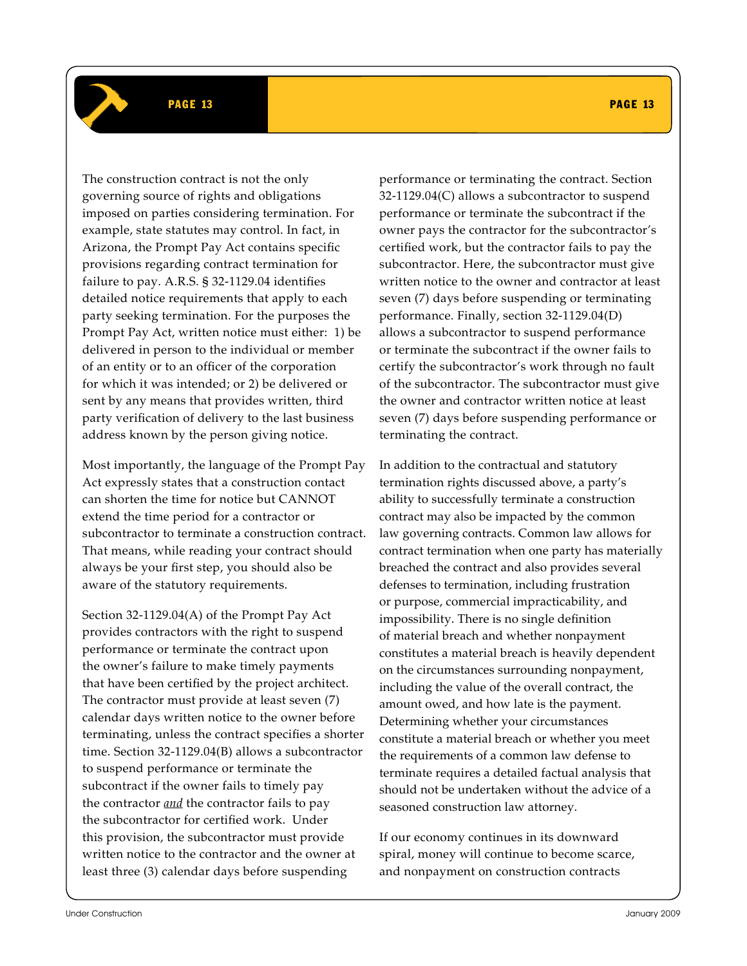### PAGE 13 PAGE 13

The construction contract is not the only governing source of rights and obligations imposed on parties considering termination. For example, state statutes may control. In fact, in Arizona, the Prompt Pay Act contains specific provisions regarding contract termination for failure to pay. A.R.S. § 32-1129.04 identifies detailed notice requirements that apply to each party seeking termination. For the purposes the Prompt Pay Act, written notice must either: 1) be delivered in person to the individual or member of an entity or to an officer of the corporation for which it was intended; or 2) be delivered or sent by any means that provides written, third party verification of delivery to the last business address known by the person giving notice.

Most importantly, the language of the Prompt Pay Act expressly states that a construction contact can shorten the time for notice but CANNOT extend the time period for a contractor or subcontractor to terminate a construction contract. That means, while reading your contract should always be your first step, you should also be aware of the statutory requirements.

Section 32-1129.04(A) of the Prompt Pay Act provides contractors with the right to suspend performance or terminate the contract upon the owner's failure to make timely payments that have been certified by the project architect. The contractor must provide at least seven (7) calendar days written notice to the owner before terminating, unless the contract specifies a shorter time. Section 32-1129.04(B) allows a subcontractor to suspend performance or terminate the subcontract if the owner fails to timely pay the contractor *and* the contractor fails to pay the subcontractor for certified work. Under this provision, the subcontractor must provide written notice to the contractor and the owner at least three (3) calendar days before suspending

performance or terminating the contract. Section 32-1129.04(C) allows a subcontractor to suspend performance or terminate the subcontract if the owner pays the contractor for the subcontractor's

certified work, but the contractor fails to pay the subcontractor. Here, the subcontractor must give written notice to the owner and contractor at least seven (7) days before suspending or terminating performance. Finally, section 32-1129.04(D) allows a subcontractor to suspend performance or terminate the subcontract if the owner fails to certify the subcontractor's work through no fault of the subcontractor. The subcontractor must give the owner and contractor written notice at least seven (7) days before suspending performance or terminating the contract.

In addition to the contractual and statutory termination rights discussed above, a party's ability to successfully terminate a construction contract may also be impacted by the common law governing contracts. Common law allows for contract termination when one party has materially breached the contract and also provides several defenses to termination, including frustration or purpose, commercial impracticability, and impossibility. There is no single definition of material breach and whether nonpayment constitutes a material breach is heavily dependent on the circumstances surrounding nonpayment, including the value of the overall contract, the amount owed, and how late is the payment. Determining whether your circumstances constitute a material breach or whether you meet the requirements of a common law defense to terminate requires a detailed factual analysis that should not be undertaken without the advice of a seasoned construction law attorney.

If our economy continues in its downward spiral, money will continue to become scarce, and nonpayment on construction contracts